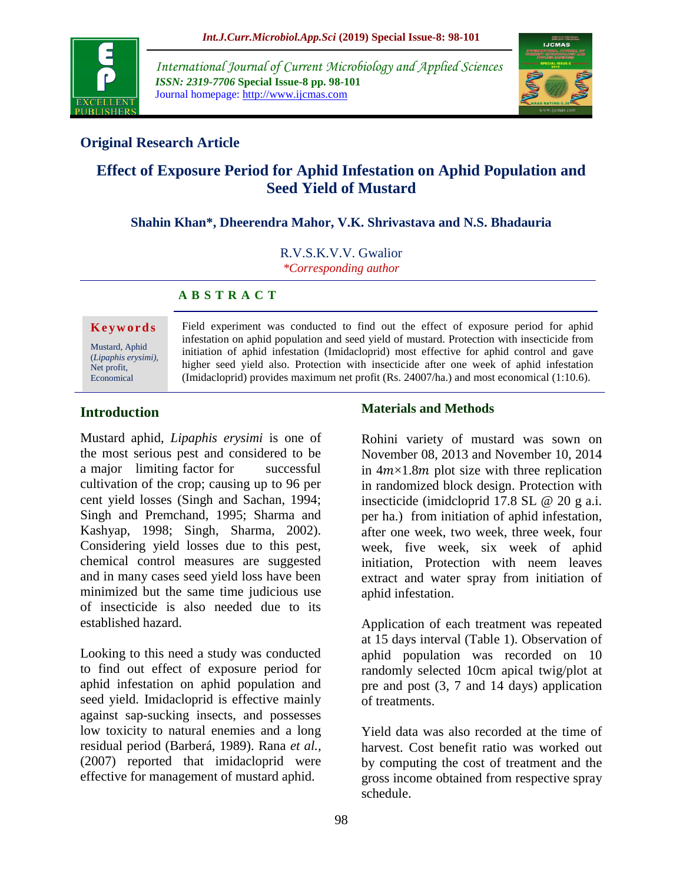

*International Journal of Current Microbiology and Applied Sciences ISSN: 2319-7706* **Special Issue-8 pp. 98-101** Journal homepage: http://www.ijcmas.com



# **Original Research Article**

# **Effect of Exposure Period for Aphid Infestation on Aphid Population and Seed Yield of Mustard**

**Shahin Khan\*, Dheerendra Mahor, V.K. Shrivastava and N.S. Bhadauria**

R.V.S.K.V.V. Gwalior

*\*Corresponding author*

#### **A B S T R A C T**

**K e y w o r d s** Mustard, Aphid (*Lipaphis erysimi),*  Net profit, Economical

Field experiment was conducted to find out the effect of exposure period for aphid infestation on aphid population and seed yield of mustard. Protection with insecticide from initiation of aphid infestation (Imidacloprid) most effective for aphid control and gave higher seed yield also. Protection with insecticide after one week of aphid infestation (Imidacloprid) provides maximum net profit (Rs. 24007/ha.) and most economical (1:10.6).

# **Introduction**

Mustard aphid, *Lipaphis erysimi* is one of the most serious pest and considered to be a major limiting factor for successful cultivation of the crop; causing up to 96 per cent yield losses (Singh and Sachan, 1994; Singh and Premchand, 1995; Sharma and Kashyap, 1998; Singh, Sharma, 2002). Considering yield losses due to this pest, chemical control measures are suggested and in many cases seed yield loss have been minimized but the same time judicious use of insecticide is also needed due to its established hazard.

Looking to this need a study was conducted to find out effect of exposure period for aphid infestation on aphid population and seed yield. Imidacloprid is effective mainly against sap-sucking insects, and possesses low toxicity to natural enemies and a long residual period (Barberá, 1989). Rana *et al.,* (2007) reported that imidacloprid were effective for management of mustard aphid.

#### **Materials and Methods**

Rohini variety of mustard was sown on November 08, 2013 and November 10, 2014 in  $4m \times 1.8m$  plot size with three replication in randomized block design. Protection with insecticide (imidcloprid 17.8 SL @ 20 g a.i. per ha.) from initiation of aphid infestation, after one week, two week, three week, four week, five week, six week of aphid initiation, Protection with neem leaves extract and water spray from initiation of aphid infestation.

Application of each treatment was repeated at 15 days interval (Table 1). Observation of aphid population was recorded on 10 randomly selected 10cm apical twig/plot at pre and post (3, 7 and 14 days) application of treatments.

Yield data was also recorded at the time of harvest. Cost benefit ratio was worked out by computing the cost of treatment and the gross income obtained from respective spray schedule.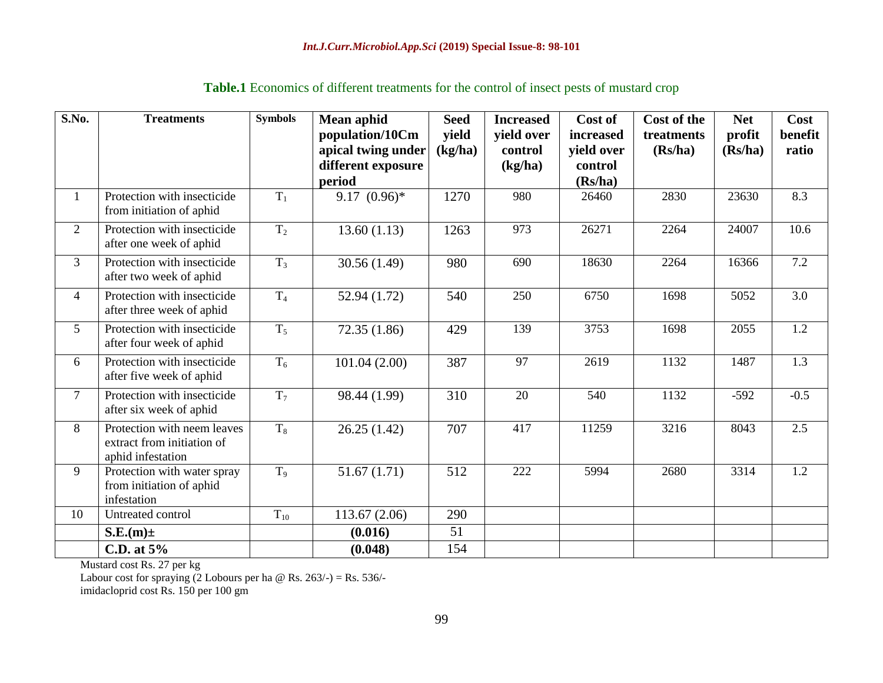| S.No.          | <b>Treatments</b>                                                              | <b>Symbols</b>   | <b>Mean aphid</b>  | <b>Seed</b> | <b>Increased</b> | Cost of    | <b>Cost of the</b> | <b>Net</b> | Cost    |
|----------------|--------------------------------------------------------------------------------|------------------|--------------------|-------------|------------------|------------|--------------------|------------|---------|
|                |                                                                                |                  | population/10Cm    | vield       | yield over       | increased  | treatments         | profit     | benefit |
|                |                                                                                |                  | apical twing under | (kg/ha)     | control          | yield over | (Rs/ha)            | (Rs/ha)    | ratio   |
|                |                                                                                |                  | different exposure |             | (kg/ha)          | control    |                    |            |         |
|                |                                                                                |                  | period             |             |                  | (Rs/ha)    |                    |            |         |
|                | Protection with insecticide<br>from initiation of aphid                        | $T_1$            | $9.17(0.96)*$      | 1270        | 980              | 26460      | 2830               | 23630      | 8.3     |
| $\overline{2}$ | Protection with insecticide<br>after one week of aphid                         | T <sub>2</sub>   | 13.60(1.13)        | 1263        | 973              | 26271      | 2264               | 24007      | 10.6    |
| $\overline{3}$ | Protection with insecticide<br>after two week of aphid                         | $T_3$            | 30.56(1.49)        | 980         | 690              | 18630      | 2264               | 16366      | 7.2     |
| $\overline{4}$ | Protection with insecticide<br>after three week of aphid                       | T <sub>4</sub>   | 52.94 (1.72)       | 540         | 250              | 6750       | 1698               | 5052       | 3.0     |
| 5 <sup>5</sup> | Protection with insecticide<br>after four week of aphid                        | $T_5$            | 72.35(1.86)        | 429         | 139              | 3753       | 1698               | 2055       | 1.2     |
| 6              | Protection with insecticide<br>after five week of aphid                        | $T_6$            | 101.04(2.00)       | 387         | 97               | 2619       | 1132               | 1487       | 1.3     |
| $\overline{7}$ | Protection with insecticide<br>after six week of aphid                         | $\overline{T_7}$ | 98.44 (1.99)       | 310         | 20               | 540        | 1132               | $-592$     | $-0.5$  |
| 8              | Protection with neem leaves<br>extract from initiation of<br>aphid infestation | $T_8$            | 26.25(1.42)        | 707         | 417              | 11259      | 3216               | 8043       | 2.5     |
| 9              | Protection with water spray<br>from initiation of aphid<br>infestation         | T <sub>9</sub>   | 51.67(1.71)        | 512         | 222              | 5994       | 2680               | 3314       | 1.2     |
| 10             | Untreated control                                                              | $T_{10}$         | 113.67(2.06)       | 290         |                  |            |                    |            |         |
|                | $S.E.(m) \pm$                                                                  |                  | (0.016)            | 51          |                  |            |                    |            |         |
|                | C.D. at $5\%$                                                                  |                  | (0.048)            | 154         |                  |            |                    |            |         |

# **Table.1** Economics of different treatments for the control of insect pests of mustard crop

Mustard cost Rs. 27 per kg

Labour cost for spraying  $(2$  Lobours per ha @ Rs. 263/-) = Rs. 536/-

imidacloprid cost Rs. 150 per 100 gm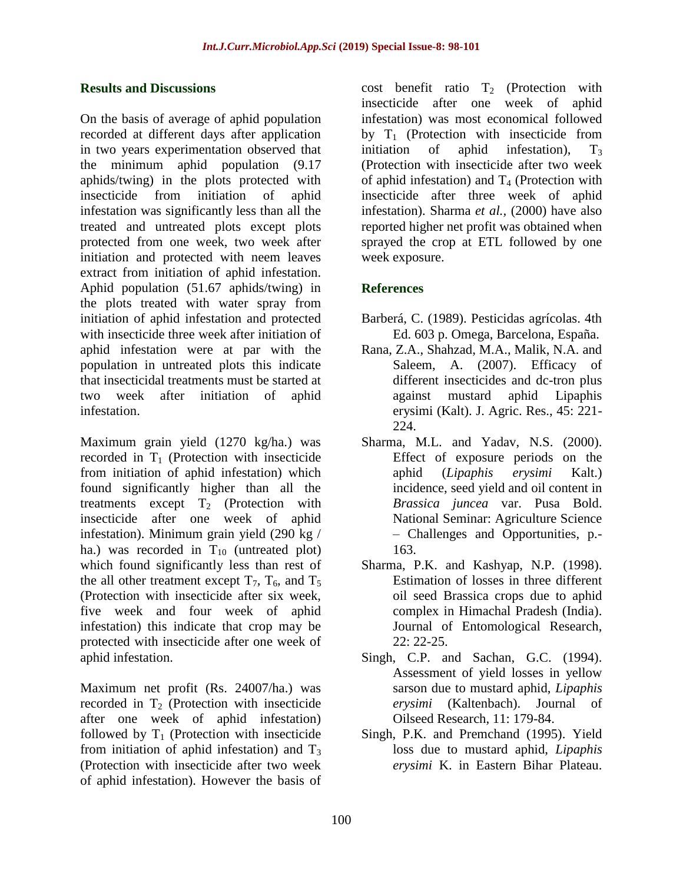#### **Results and Discussions**

On the basis of average of aphid population recorded at different days after application in two years experimentation observed that the minimum aphid population (9.17 aphids/twing) in the plots protected with insecticide from initiation of aphid infestation was significantly less than all the treated and untreated plots except plots protected from one week, two week after initiation and protected with neem leaves extract from initiation of aphid infestation. Aphid population (51.67 aphids/twing) in the plots treated with water spray from initiation of aphid infestation and protected with insecticide three week after initiation of aphid infestation were at par with the population in untreated plots this indicate that insecticidal treatments must be started at two week after initiation of aphid infestation.

Maximum grain yield (1270 kg/ha.) was recorded in  $T_1$  (Protection with insecticide from initiation of aphid infestation) which found significantly higher than all the treatments except  $T_2$  (Protection with insecticide after one week of aphid infestation). Minimum grain yield (290 kg / ha.) was recorded in  $T_{10}$  (untreated plot) which found significantly less than rest of the all other treatment except  $T_7$ ,  $T_6$ , and  $T_5$ (Protection with insecticide after six week, five week and four week of aphid infestation) this indicate that crop may be protected with insecticide after one week of aphid infestation.

Maximum net profit (Rs. 24007/ha.) was recorded in  $T_2$  (Protection with insecticide after one week of aphid infestation) followed by  $T_1$  (Protection with insecticide from initiation of aphid infestation) and  $T_3$ (Protection with insecticide after two week of aphid infestation). However the basis of

cost benefit ratio  $T_2$  (Protection with insecticide after one week of aphid infestation) was most economical followed by  $T_1$  (Protection with insecticide from initiation of aphid infestation),  $T_3$ (Protection with insecticide after two week of aphid infestation) and  $T_4$  (Protection with insecticide after three week of aphid infestation). Sharma *et al.,* (2000) have also reported higher net profit was obtained when sprayed the crop at ETL followed by one week exposure.

# **References**

- Barberá, C. (1989). Pesticidas agrícolas. 4th Ed. 603 p. Omega, Barcelona, España.
- Rana, Z.A., Shahzad, M.A., Malik, N.A. and Saleem, A. (2007). Efficacy of different insecticides and dc-tron plus against mustard aphid Lipaphis erysimi (Kalt). J. Agric. Res., 45: 221- 224.
- Sharma, M.L. and Yadav, N.S. (2000). Effect of exposure periods on the aphid (*Lipaphis erysimi* Kalt.) incidence, seed yield and oil content in *Brassica juncea* var. Pusa Bold. National Seminar: Agriculture Science – Challenges and Opportunities, p.- 163.
- Sharma, P.K. and Kashyap, N.P. (1998). Estimation of losses in three different oil seed Brassica crops due to aphid complex in Himachal Pradesh (India). Journal of Entomological Research, 22: 22-25.
- Singh, C.P. and Sachan, G.C. (1994). Assessment of yield losses in yellow sarson due to mustard aphid, *Lipaphis erysimi* (Kaltenbach). Journal of Oilseed Research, 11: 179-84.
- Singh, P.K. and Premchand (1995). Yield loss due to mustard aphid, *Lipaphis erysimi* K. in Eastern Bihar Plateau.